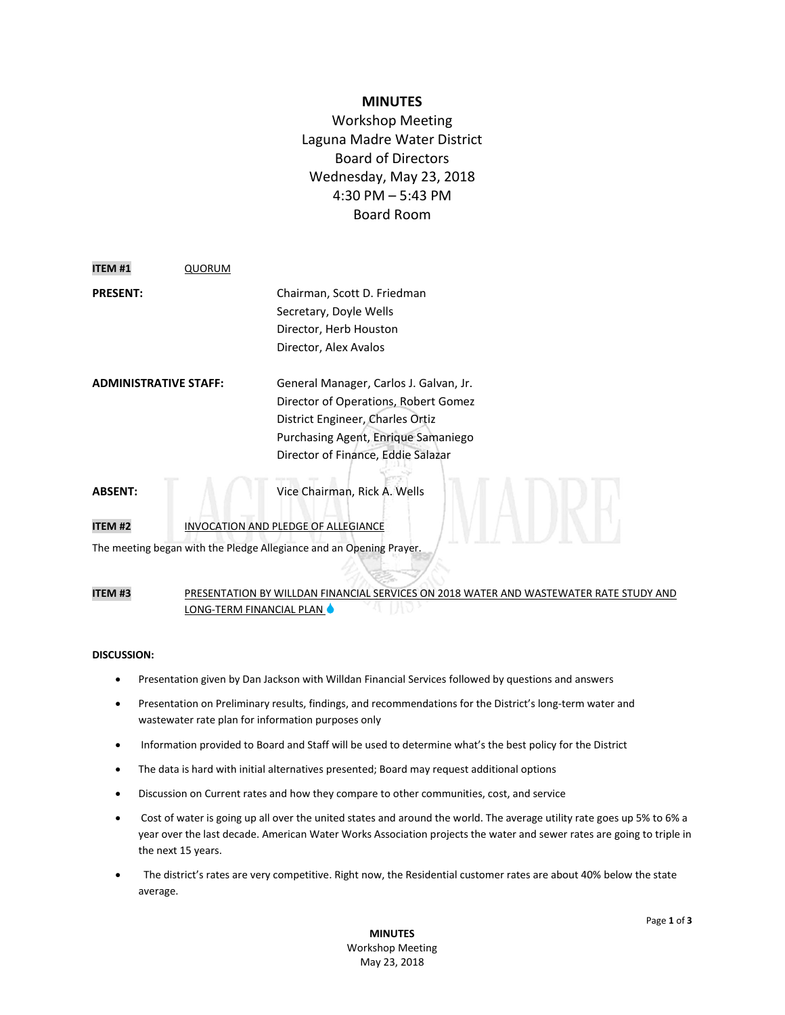## **MINUTES**

Workshop Meeting Laguna Madre Water District Board of Directors Wednesday, May 23, 2018 4:30 PM – 5:43 PM Board Room

| <b>ITEM#1</b>                | <b>QUORUM</b> |                                        |
|------------------------------|---------------|----------------------------------------|
| <b>PRESENT:</b>              |               | Chairman, Scott D. Friedman            |
|                              |               | Secretary, Doyle Wells                 |
|                              |               | Director, Herb Houston                 |
|                              |               | Director, Alex Avalos                  |
| <b>ADMINISTRATIVE STAFF:</b> |               | General Manager, Carlos J. Galvan, Jr. |
|                              |               | Director of Operations, Robert Gomez   |
|                              |               | District Engineer, Charles Ortiz       |
|                              |               | Purchasing Agent, Enrique Samaniego    |
|                              |               | Director of Finance, Eddie Salazar     |
| <b>ABSENT:</b>               |               | Vice Chairman, Rick A. Wells           |
|                              |               |                                        |

# **ITEM #2** INVOCATION AND PLEDGE OF ALLEGIANCE

The meeting began with the Pledge Allegiance and an Opening Prayer.

#### **ITEM #3** PRESENTATION BY WILLDAN FINANCIAL SERVICES ON 2018 WATER AND WASTEWATER RATE STUDY AND LONG-TERM FINANCIAL PLAN  $\bullet$

### **DISCUSSION:**

- Presentation given by Dan Jackson with Willdan Financial Services followed by questions and answers
- Presentation on Preliminary results, findings, and recommendations for the District's long-term water and wastewater rate plan for information purposes only
- Information provided to Board and Staff will be used to determine what's the best policy for the District
- The data is hard with initial alternatives presented; Board may request additional options
- Discussion on Current rates and how they compare to other communities, cost, and service
- Cost of water is going up all over the united states and around the world. The average utility rate goes up 5% to 6% a year over the last decade. American Water Works Association projects the water and sewer rates are going to triple in the next 15 years.
- The district's rates are very competitive. Right now, the Residential customer rates are about 40% below the state average.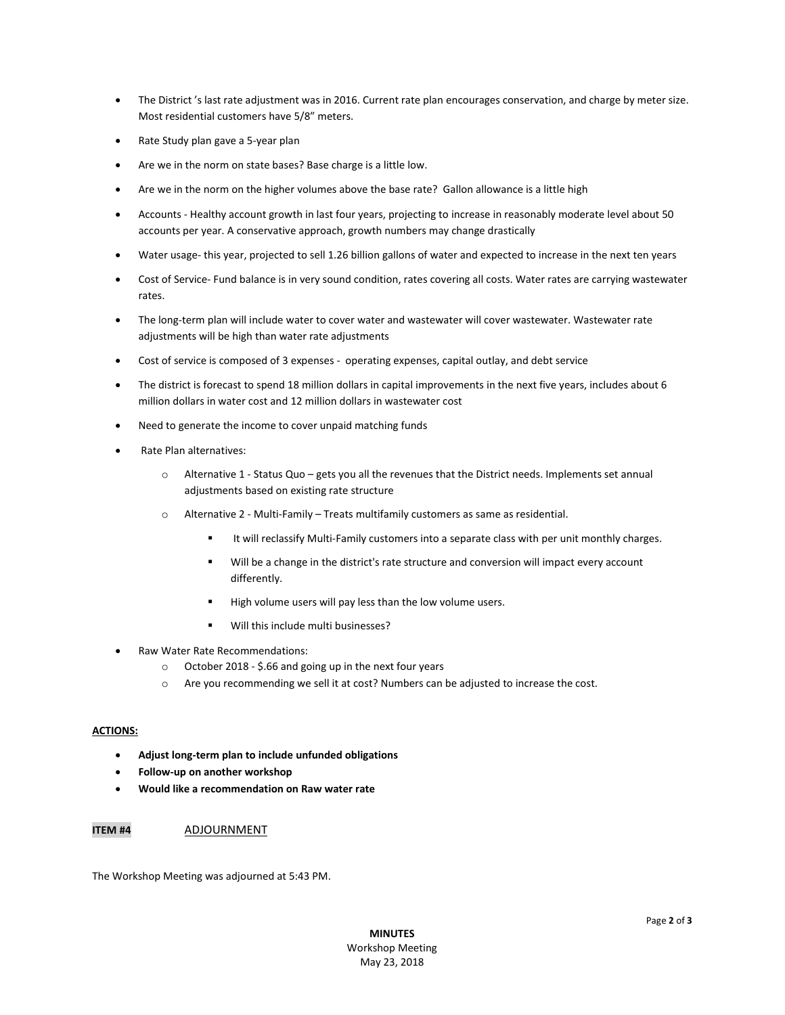- The District 's last rate adjustment was in 2016. Current rate plan encourages conservation, and charge by meter size. Most residential customers have 5/8" meters.
- Rate Study plan gave a 5-year plan
- Are we in the norm on state bases? Base charge is a little low.
- Are we in the norm on the higher volumes above the base rate? Gallon allowance is a little high
- Accounts Healthy account growth in last four years, projecting to increase in reasonably moderate level about 50 accounts per year. A conservative approach, growth numbers may change drastically
- Water usage- this year, projected to sell 1.26 billion gallons of water and expected to increase in the next ten years
- Cost of Service- Fund balance is in very sound condition, rates covering all costs. Water rates are carrying wastewater rates.
- The long-term plan will include water to cover water and wastewater will cover wastewater. Wastewater rate adjustments will be high than water rate adjustments
- Cost of service is composed of 3 expenses operating expenses, capital outlay, and debt service
- The district is forecast to spend 18 million dollars in capital improvements in the next five years, includes about 6 million dollars in water cost and 12 million dollars in wastewater cost
- Need to generate the income to cover unpaid matching funds
- Rate Plan alternatives:
	- o Alternative 1 Status Quo gets you all the revenues that the District needs. Implements set annual adjustments based on existing rate structure
	- o Alternative 2 Multi-Family Treats multifamily customers as same as residential.
		- It will reclassify Multi-Family customers into a separate class with per unit monthly charges.
		- Will be a change in the district's rate structure and conversion will impact every account differently.
		- High volume users will pay less than the low volume users.
		- Will this include multi businesses?
- Raw Water Rate Recommendations:
	- o October 2018 \$.66 and going up in the next four years
	- o Are you recommending we sell it at cost? Numbers can be adjusted to increase the cost.

#### **ACTIONS:**

- **Adjust long-term plan to include unfunded obligations**
- **Follow-up on another workshop**
- **Would like a recommendation on Raw water rate**

#### **ITEM #4** ADJOURNMENT

The Workshop Meeting was adjourned at 5:43 PM.